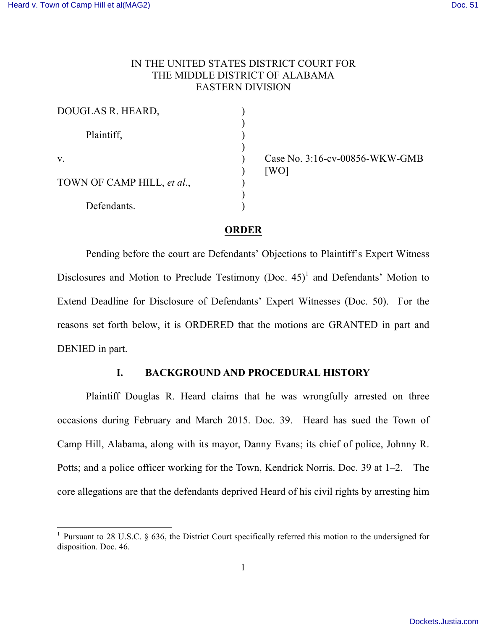# IN THE UNITED STATES DISTRICT COURT FOR THE MIDDLE DISTRICT OF ALABAMA EASTERN DIVISION

| DOUGLAS R. HEARD,          |  |
|----------------------------|--|
| Plaintiff,                 |  |
| V.                         |  |
| TOWN OF CAMP HILL, et al., |  |
| Defendants.                |  |

Case No. 3:16-cv-00856-WKW-GMB  $[WO]$ 

# **ORDER**

Pending before the court are Defendants' Objections to Plaintiff's Expert Witness Disclosures and Motion to Preclude Testimony (Doc.  $45$ )<sup>1</sup> and Defendants' Motion to Extend Deadline for Disclosure of Defendants' Expert Witnesses (Doc. 50). For the reasons set forth below, it is ORDERED that the motions are GRANTED in part and DENIED in part.

# **I. BACKGROUND AND PROCEDURAL HISTORY**

Plaintiff Douglas R. Heard claims that he was wrongfully arrested on three occasions during February and March 2015. Doc. 39. Heard has sued the Town of Camp Hill, Alabama, along with its mayor, Danny Evans; its chief of police, Johnny R. Potts; and a police officer working for the Town, Kendrick Norris. Doc. 39 at 1–2. The core allegations are that the defendants deprived Heard of his civil rights by arresting him

<sup>&</sup>lt;sup>1</sup> Pursuant to 28 U.S.C. § 636, the District Court specifically referred this motion to the undersigned for disposition. Doc. 46.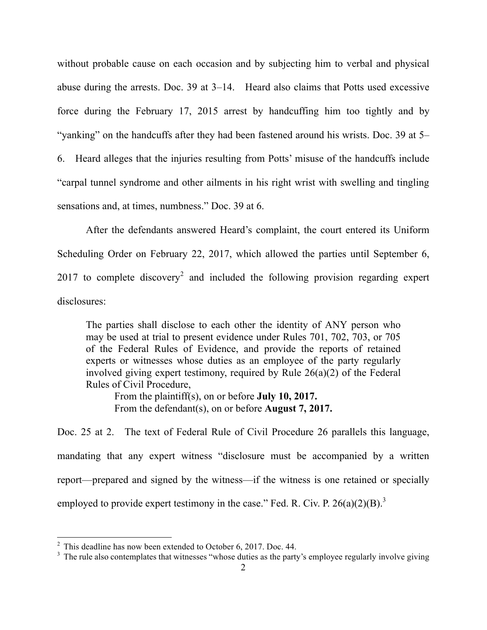without probable cause on each occasion and by subjecting him to verbal and physical abuse during the arrests. Doc. 39 at 3–14. Heard also claims that Potts used excessive force during the February 17, 2015 arrest by handcuffing him too tightly and by "yanking" on the handcuffs after they had been fastened around his wrists. Doc. 39 at 5– 6. Heard alleges that the injuries resulting from Potts' misuse of the handcuffs include "carpal tunnel syndrome and other ailments in his right wrist with swelling and tingling sensations and, at times, numbness." Doc. 39 at 6.

After the defendants answered Heard's complaint, the court entered its Uniform Scheduling Order on February 22, 2017, which allowed the parties until September 6, 2017 to complete discovery<sup>2</sup> and included the following provision regarding expert disclosures:

The parties shall disclose to each other the identity of ANY person who may be used at trial to present evidence under Rules 701, 702, 703, or 705 of the Federal Rules of Evidence, and provide the reports of retained experts or witnesses whose duties as an employee of the party regularly involved giving expert testimony, required by Rule 26(a)(2) of the Federal Rules of Civil Procedure,

From the plaintiff(s), on or before **July 10, 2017.** From the defendant(s), on or before **August 7, 2017.**

Doc. 25 at 2. The text of Federal Rule of Civil Procedure 26 parallels this language, mandating that any expert witness "disclosure must be accompanied by a written report—prepared and signed by the witness—if the witness is one retained or specially employed to provide expert testimony in the case." Fed. R. Civ. P.  $26(a)(2)(B)^3$ 

 $2^2$  This deadline has now been extended to October 6, 2017. Doc. 44.

 $3\text{ The rule also controllers that witnesses "whose duties as the party's employee regularly involve giving }$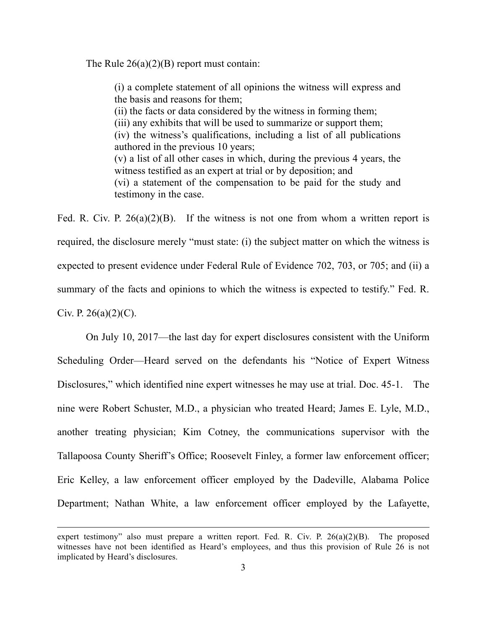The Rule  $26(a)(2)(B)$  report must contain:

(i) a complete statement of all opinions the witness will express and the basis and reasons for them; (ii) the facts or data considered by the witness in forming them; (iii) any exhibits that will be used to summarize or support them; (iv) the witness's qualifications, including a list of all publications authored in the previous 10 years; (v) a list of all other cases in which, during the previous 4 years, the witness testified as an expert at trial or by deposition; and (vi) a statement of the compensation to be paid for the study and testimony in the case.

Fed. R. Civ. P.  $26(a)(2)(B)$ . If the witness is not one from whom a written report is required, the disclosure merely "must state: (i) the subject matter on which the witness is expected to present evidence under Federal Rule of Evidence 702, 703, or 705; and (ii) a summary of the facts and opinions to which the witness is expected to testify." Fed. R. Civ. P.  $26(a)(2)(C)$ .

On July 10, 2017—the last day for expert disclosures consistent with the Uniform Scheduling Order—Heard served on the defendants his "Notice of Expert Witness Disclosures," which identified nine expert witnesses he may use at trial. Doc. 45-1. The nine were Robert Schuster, M.D., a physician who treated Heard; James E. Lyle, M.D., another treating physician; Kim Cotney, the communications supervisor with the Tallapoosa County Sheriff's Office; Roosevelt Finley, a former law enforcement officer; Eric Kelley, a law enforcement officer employed by the Dadeville, Alabama Police Department; Nathan White, a law enforcement officer employed by the Lafayette,

 $\overline{a}$ 

expert testimony" also must prepare a written report. Fed. R. Civ. P. 26(a)(2)(B). The proposed witnesses have not been identified as Heard's employees, and thus this provision of Rule 26 is not implicated by Heard's disclosures.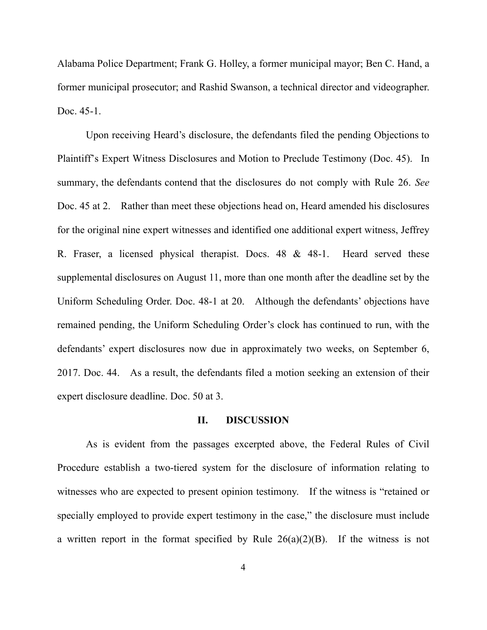Alabama Police Department; Frank G. Holley, a former municipal mayor; Ben C. Hand, a former municipal prosecutor; and Rashid Swanson, a technical director and videographer. Doc. 45-1.

Upon receiving Heard's disclosure, the defendants filed the pending Objections to Plaintiff's Expert Witness Disclosures and Motion to Preclude Testimony (Doc. 45). In summary, the defendants contend that the disclosures do not comply with Rule 26. *See* Doc. 45 at 2. Rather than meet these objections head on, Heard amended his disclosures for the original nine expert witnesses and identified one additional expert witness, Jeffrey R. Fraser, a licensed physical therapist. Docs. 48 & 48-1. Heard served these supplemental disclosures on August 11, more than one month after the deadline set by the Uniform Scheduling Order. Doc. 48-1 at 20. Although the defendants' objections have remained pending, the Uniform Scheduling Order's clock has continued to run, with the defendants' expert disclosures now due in approximately two weeks, on September 6, 2017. Doc. 44. As a result, the defendants filed a motion seeking an extension of their expert disclosure deadline. Doc. 50 at 3.

### **II. DISCUSSION**

As is evident from the passages excerpted above, the Federal Rules of Civil Procedure establish a two-tiered system for the disclosure of information relating to witnesses who are expected to present opinion testimony. If the witness is "retained or specially employed to provide expert testimony in the case," the disclosure must include a written report in the format specified by Rule  $26(a)(2)(B)$ . If the witness is not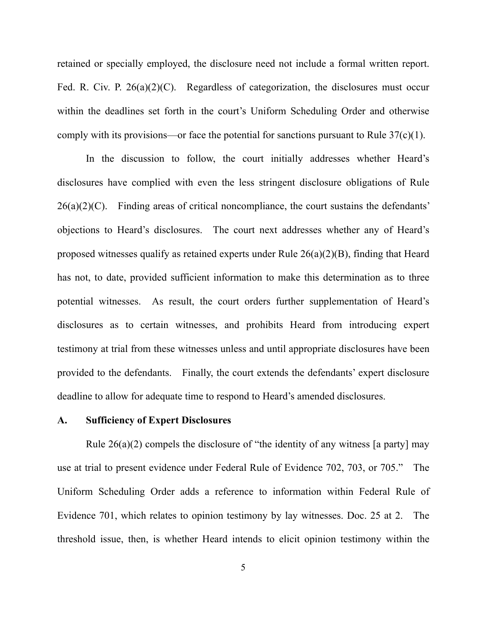retained or specially employed, the disclosure need not include a formal written report. Fed. R. Civ. P. 26(a)(2)(C). Regardless of categorization, the disclosures must occur within the deadlines set forth in the court's Uniform Scheduling Order and otherwise comply with its provisions—or face the potential for sanctions pursuant to Rule  $37(c)(1)$ .

In the discussion to follow, the court initially addresses whether Heard's disclosures have complied with even the less stringent disclosure obligations of Rule  $26(a)(2)(C)$ . Finding areas of critical noncompliance, the court sustains the defendants' objections to Heard's disclosures. The court next addresses whether any of Heard's proposed witnesses qualify as retained experts under Rule 26(a)(2)(B), finding that Heard has not, to date, provided sufficient information to make this determination as to three potential witnesses. As result, the court orders further supplementation of Heard's disclosures as to certain witnesses, and prohibits Heard from introducing expert testimony at trial from these witnesses unless and until appropriate disclosures have been provided to the defendants. Finally, the court extends the defendants' expert disclosure deadline to allow for adequate time to respond to Heard's amended disclosures.

# **A. Sufficiency of Expert Disclosures**

Rule  $26(a)(2)$  compels the disclosure of "the identity of any witness [a party] may use at trial to present evidence under Federal Rule of Evidence 702, 703, or 705." The Uniform Scheduling Order adds a reference to information within Federal Rule of Evidence 701, which relates to opinion testimony by lay witnesses. Doc. 25 at 2. The threshold issue, then, is whether Heard intends to elicit opinion testimony within the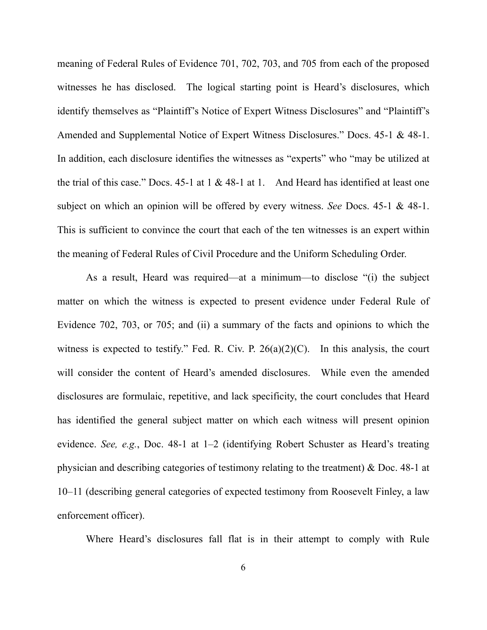meaning of Federal Rules of Evidence 701, 702, 703, and 705 from each of the proposed witnesses he has disclosed. The logical starting point is Heard's disclosures, which identify themselves as "Plaintiff's Notice of Expert Witness Disclosures" and "Plaintiff's Amended and Supplemental Notice of Expert Witness Disclosures." Docs. 45-1 & 48-1. In addition, each disclosure identifies the witnesses as "experts" who "may be utilized at the trial of this case." Docs.  $45-1$  at  $1 \& 48-1$  at 1. And Heard has identified at least one subject on which an opinion will be offered by every witness. *See* Docs. 45-1 & 48-1. This is sufficient to convince the court that each of the ten witnesses is an expert within the meaning of Federal Rules of Civil Procedure and the Uniform Scheduling Order.

As a result, Heard was required—at a minimum—to disclose "(i) the subject matter on which the witness is expected to present evidence under Federal Rule of Evidence 702, 703, or 705; and (ii) a summary of the facts and opinions to which the witness is expected to testify." Fed. R. Civ. P.  $26(a)(2)(C)$ . In this analysis, the court will consider the content of Heard's amended disclosures. While even the amended disclosures are formulaic, repetitive, and lack specificity, the court concludes that Heard has identified the general subject matter on which each witness will present opinion evidence. *See, e.g.*, Doc. 48-1 at 1–2 (identifying Robert Schuster as Heard's treating physician and describing categories of testimony relating to the treatment) & Doc. 48-1 at 10–11 (describing general categories of expected testimony from Roosevelt Finley, a law enforcement officer).

Where Heard's disclosures fall flat is in their attempt to comply with Rule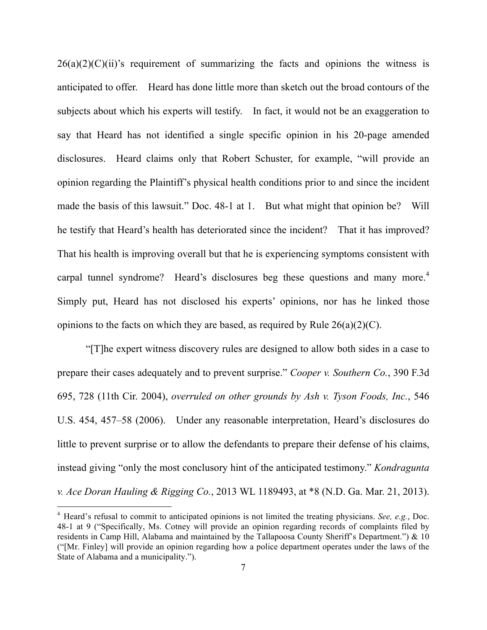$26(a)(2)(C)(ii)$ 's requirement of summarizing the facts and opinions the witness is anticipated to offer. Heard has done little more than sketch out the broad contours of the subjects about which his experts will testify. In fact, it would not be an exaggeration to say that Heard has not identified a single specific opinion in his 20-page amended disclosures. Heard claims only that Robert Schuster, for example, "will provide an opinion regarding the Plaintiff's physical health conditions prior to and since the incident made the basis of this lawsuit." Doc. 48-1 at 1. But what might that opinion be? Will he testify that Heard's health has deteriorated since the incident? That it has improved? That his health is improving overall but that he is experiencing symptoms consistent with carpal tunnel syndrome? Heard's disclosures beg these questions and many more.<sup>4</sup> Simply put, Heard has not disclosed his experts' opinions, nor has he linked those opinions to the facts on which they are based, as required by Rule 26(a)(2)(C).

"[T]he expert witness discovery rules are designed to allow both sides in a case to prepare their cases adequately and to prevent surprise." *Cooper v. Southern Co.*, 390 F.3d 695, 728 (11th Cir. 2004), *overruled on other grounds by Ash v. Tyson Foods, Inc.*, 546 U.S. 454, 457–58 (2006). Under any reasonable interpretation, Heard's disclosures do little to prevent surprise or to allow the defendants to prepare their defense of his claims, instead giving "only the most conclusory hint of the anticipated testimony." *Kondragunta v. Ace Doran Hauling & Rigging Co.*, 2013 WL 1189493, at \*8 (N.D. Ga. Mar. 21, 2013).

 <sup>4</sup> Heard's refusal to commit to anticipated opinions is not limited the treating physicians. *See, e.g.*, Doc. 48-1 at 9 ("Specifically, Ms. Cotney will provide an opinion regarding records of complaints filed by residents in Camp Hill, Alabama and maintained by the Tallapoosa County Sheriff's Department.") & 10 ("[Mr. Finley] will provide an opinion regarding how a police department operates under the laws of the State of Alabama and a municipality.").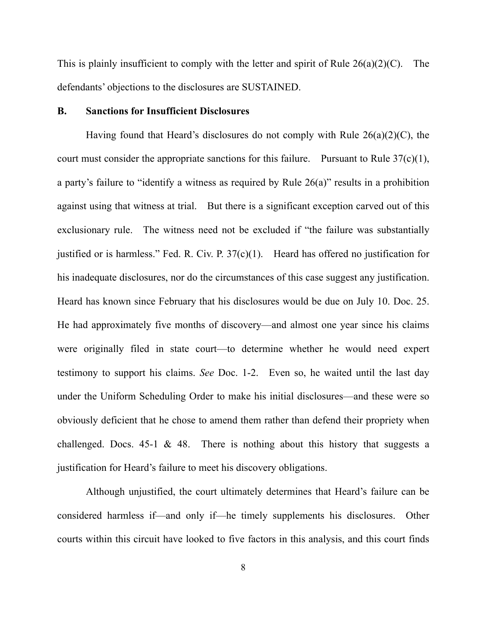This is plainly insufficient to comply with the letter and spirit of Rule  $26(a)(2)(C)$ . The defendants' objections to the disclosures are SUSTAINED.

### **B. Sanctions for Insufficient Disclosures**

Having found that Heard's disclosures do not comply with Rule 26(a)(2)(C), the court must consider the appropriate sanctions for this failure. Pursuant to Rule  $37(c)(1)$ , a party's failure to "identify a witness as required by Rule 26(a)" results in a prohibition against using that witness at trial. But there is a significant exception carved out of this exclusionary rule. The witness need not be excluded if "the failure was substantially justified or is harmless." Fed. R. Civ. P.  $37(c)(1)$ . Heard has offered no justification for his inadequate disclosures, nor do the circumstances of this case suggest any justification. Heard has known since February that his disclosures would be due on July 10. Doc. 25. He had approximately five months of discovery—and almost one year since his claims were originally filed in state court—to determine whether he would need expert testimony to support his claims. *See* Doc. 1-2. Even so, he waited until the last day under the Uniform Scheduling Order to make his initial disclosures—and these were so obviously deficient that he chose to amend them rather than defend their propriety when challenged. Docs. 45-1  $\&$  48. There is nothing about this history that suggests a justification for Heard's failure to meet his discovery obligations.

Although unjustified, the court ultimately determines that Heard's failure can be considered harmless if—and only if—he timely supplements his disclosures. Other courts within this circuit have looked to five factors in this analysis, and this court finds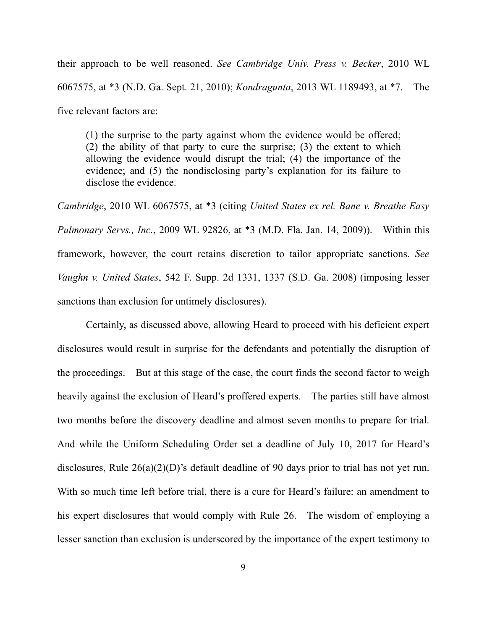their approach to be well reasoned. *See Cambridge Univ. Press v. Becker*, 2010 WL 6067575, at \*3 (N.D. Ga. Sept. 21, 2010); *Kondragunta*, 2013 WL 1189493, at \*7. The five relevant factors are:

(1) the surprise to the party against whom the evidence would be offered; (2) the ability of that party to cure the surprise; (3) the extent to which allowing the evidence would disrupt the trial; (4) the importance of the evidence; and (5) the nondisclosing party's explanation for its failure to disclose the evidence.

*Cambridge*, 2010 WL 6067575, at \*3 (citing *United States ex rel. Bane v. Breathe Easy Pulmonary Servs., Inc.*, 2009 WL 92826, at \*3 (M.D. Fla. Jan. 14, 2009)). Within this framework, however, the court retains discretion to tailor appropriate sanctions. *See Vaughn v. United States*, 542 F. Supp. 2d 1331, 1337 (S.D. Ga. 2008) (imposing lesser sanctions than exclusion for untimely disclosures).

Certainly, as discussed above, allowing Heard to proceed with his deficient expert disclosures would result in surprise for the defendants and potentially the disruption of the proceedings. But at this stage of the case, the court finds the second factor to weigh heavily against the exclusion of Heard's proffered experts. The parties still have almost two months before the discovery deadline and almost seven months to prepare for trial. And while the Uniform Scheduling Order set a deadline of July 10, 2017 for Heard's disclosures, Rule 26(a)(2)(D)'s default deadline of 90 days prior to trial has not yet run. With so much time left before trial, there is a cure for Heard's failure: an amendment to his expert disclosures that would comply with Rule 26. The wisdom of employing a lesser sanction than exclusion is underscored by the importance of the expert testimony to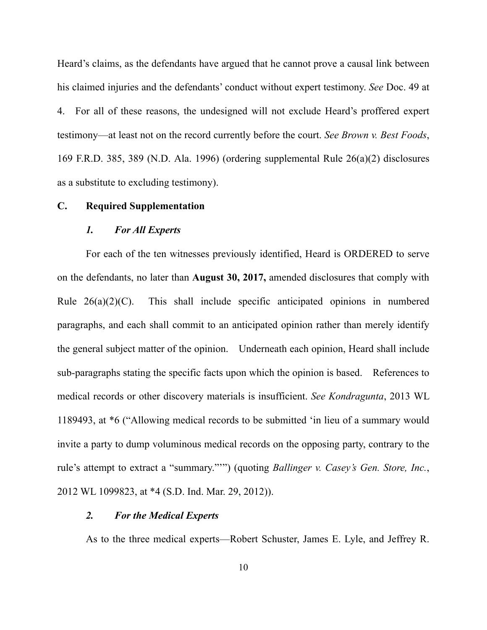Heard's claims, as the defendants have argued that he cannot prove a causal link between his claimed injuries and the defendants' conduct without expert testimony. *See* Doc. 49 at 4. For all of these reasons, the undesigned will not exclude Heard's proffered expert testimony—at least not on the record currently before the court. *See Brown v. Best Foods*, 169 F.R.D. 385, 389 (N.D. Ala. 1996) (ordering supplemental Rule 26(a)(2) disclosures as a substitute to excluding testimony).

# **C. Required Supplementation**

### *1. For All Experts*

For each of the ten witnesses previously identified, Heard is ORDERED to serve on the defendants, no later than **August 30, 2017,** amended disclosures that comply with Rule  $26(a)(2)(C)$ . This shall include specific anticipated opinions in numbered paragraphs, and each shall commit to an anticipated opinion rather than merely identify the general subject matter of the opinion. Underneath each opinion, Heard shall include sub-paragraphs stating the specific facts upon which the opinion is based. References to medical records or other discovery materials is insufficient. *See Kondragunta*, 2013 WL 1189493, at \*6 ("Allowing medical records to be submitted 'in lieu of a summary would invite a party to dump voluminous medical records on the opposing party, contrary to the rule's attempt to extract a "summary."'") (quoting *Ballinger v. Casey's Gen. Store, Inc.*, 2012 WL 1099823, at \*4 (S.D. Ind. Mar. 29, 2012)).

### *2. For the Medical Experts*

As to the three medical experts—Robert Schuster, James E. Lyle, and Jeffrey R.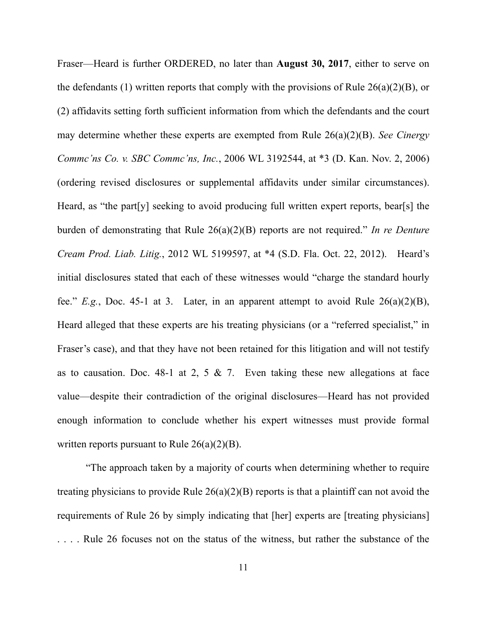Fraser—Heard is further ORDERED, no later than **August 30, 2017**, either to serve on the defendants (1) written reports that comply with the provisions of Rule  $26(a)(2)(B)$ , or (2) affidavits setting forth sufficient information from which the defendants and the court may determine whether these experts are exempted from Rule 26(a)(2)(B). *See Cinergy Commc'ns Co. v. SBC Commc'ns, Inc.*, 2006 WL 3192544, at \*3 (D. Kan. Nov. 2, 2006) (ordering revised disclosures or supplemental affidavits under similar circumstances). Heard, as "the part[y] seeking to avoid producing full written expert reports, bear[s] the burden of demonstrating that Rule 26(a)(2)(B) reports are not required." *In re Denture Cream Prod. Liab. Litig.*, 2012 WL 5199597, at \*4 (S.D. Fla. Oct. 22, 2012). Heard's initial disclosures stated that each of these witnesses would "charge the standard hourly fee." *E.g.*, Doc. 45-1 at 3. Later, in an apparent attempt to avoid Rule 26(a)(2)(B), Heard alleged that these experts are his treating physicians (or a "referred specialist," in Fraser's case), and that they have not been retained for this litigation and will not testify as to causation. Doc. 48-1 at 2, 5  $\&$  7. Even taking these new allegations at face value—despite their contradiction of the original disclosures—Heard has not provided enough information to conclude whether his expert witnesses must provide formal written reports pursuant to Rule  $26(a)(2)(B)$ .

"The approach taken by a majority of courts when determining whether to require treating physicians to provide Rule 26(a)(2)(B) reports is that a plaintiff can not avoid the requirements of Rule 26 by simply indicating that [her] experts are [treating physicians] . . . . Rule 26 focuses not on the status of the witness, but rather the substance of the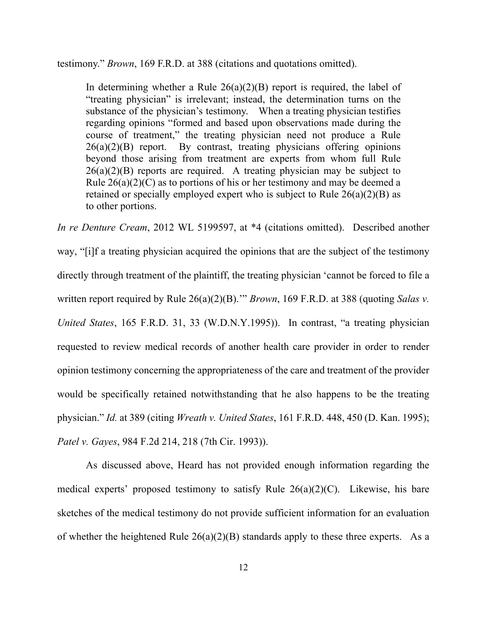testimony." *Brown*, 169 F.R.D. at 388 (citations and quotations omitted).

In determining whether a Rule  $26(a)(2)(B)$  report is required, the label of "treating physician" is irrelevant; instead, the determination turns on the substance of the physician's testimony. When a treating physician testifies regarding opinions "formed and based upon observations made during the course of treatment," the treating physician need not produce a Rule  $26(a)(2)(B)$  report. By contrast, treating physicians offering opinions beyond those arising from treatment are experts from whom full Rule  $26(a)(2)(B)$  reports are required. A treating physician may be subject to Rule  $26(a)(2)(C)$  as to portions of his or her testimony and may be deemed a retained or specially employed expert who is subject to Rule 26(a)(2)(B) as to other portions.

*In re Denture Cream*, 2012 WL 5199597, at \*4 (citations omitted). Described another way, "[i]f a treating physician acquired the opinions that are the subject of the testimony directly through treatment of the plaintiff, the treating physician 'cannot be forced to file a written report required by Rule 26(a)(2)(B)." *Brown*, 169 F.R.D. at 388 (quoting *Salas v. United States*, 165 F.R.D. 31, 33 (W.D.N.Y.1995)). In contrast, "a treating physician requested to review medical records of another health care provider in order to render opinion testimony concerning the appropriateness of the care and treatment of the provider would be specifically retained notwithstanding that he also happens to be the treating physician." *Id.* at 389 (citing *Wreath v. United States*, 161 F.R.D. 448, 450 (D. Kan. 1995); *Patel v. Gayes*, 984 F.2d 214, 218 (7th Cir. 1993)).

As discussed above, Heard has not provided enough information regarding the medical experts' proposed testimony to satisfy Rule  $26(a)(2)(C)$ . Likewise, his bare sketches of the medical testimony do not provide sufficient information for an evaluation of whether the heightened Rule  $26(a)(2)(B)$  standards apply to these three experts. As a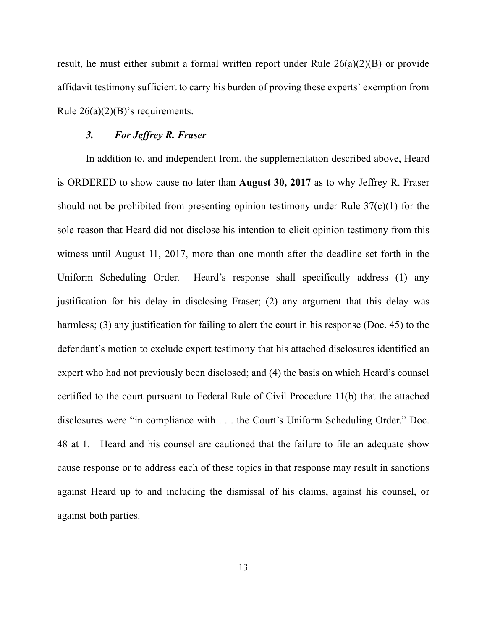result, he must either submit a formal written report under Rule 26(a)(2)(B) or provide affidavit testimony sufficient to carry his burden of proving these experts' exemption from Rule  $26(a)(2)(B)$ 's requirements.

# *3. For Jeffrey R. Fraser*

In addition to, and independent from, the supplementation described above, Heard is ORDERED to show cause no later than **August 30, 2017** as to why Jeffrey R. Fraser should not be prohibited from presenting opinion testimony under Rule 37(c)(1) for the sole reason that Heard did not disclose his intention to elicit opinion testimony from this witness until August 11, 2017, more than one month after the deadline set forth in the Uniform Scheduling Order. Heard's response shall specifically address (1) any justification for his delay in disclosing Fraser; (2) any argument that this delay was harmless; (3) any justification for failing to alert the court in his response (Doc. 45) to the defendant's motion to exclude expert testimony that his attached disclosures identified an expert who had not previously been disclosed; and (4) the basis on which Heard's counsel certified to the court pursuant to Federal Rule of Civil Procedure 11(b) that the attached disclosures were "in compliance with . . . the Court's Uniform Scheduling Order." Doc. 48 at 1. Heard and his counsel are cautioned that the failure to file an adequate show cause response or to address each of these topics in that response may result in sanctions against Heard up to and including the dismissal of his claims, against his counsel, or against both parties.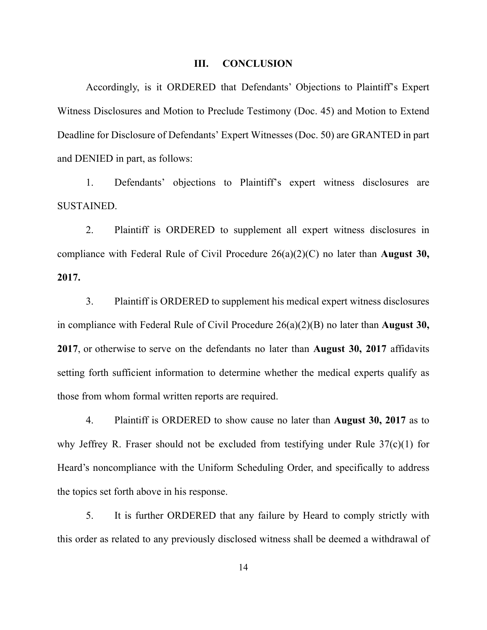#### **III. CONCLUSION**

Accordingly, is it ORDERED that Defendants' Objections to Plaintiff's Expert Witness Disclosures and Motion to Preclude Testimony (Doc. 45) and Motion to Extend Deadline for Disclosure of Defendants' Expert Witnesses (Doc. 50) are GRANTED in part and DENIED in part, as follows:

1. Defendants' objections to Plaintiff's expert witness disclosures are SUSTAINED.

2. Plaintiff is ORDERED to supplement all expert witness disclosures in compliance with Federal Rule of Civil Procedure 26(a)(2)(C) no later than **August 30, 2017.**

3. Plaintiff is ORDERED to supplement his medical expert witness disclosures in compliance with Federal Rule of Civil Procedure 26(a)(2)(B) no later than **August 30, 2017**, or otherwise to serve on the defendants no later than **August 30, 2017** affidavits setting forth sufficient information to determine whether the medical experts qualify as those from whom formal written reports are required.

4. Plaintiff is ORDERED to show cause no later than **August 30, 2017** as to why Jeffrey R. Fraser should not be excluded from testifying under Rule 37(c)(1) for Heard's noncompliance with the Uniform Scheduling Order, and specifically to address the topics set forth above in his response.

5. It is further ORDERED that any failure by Heard to comply strictly with this order as related to any previously disclosed witness shall be deemed a withdrawal of